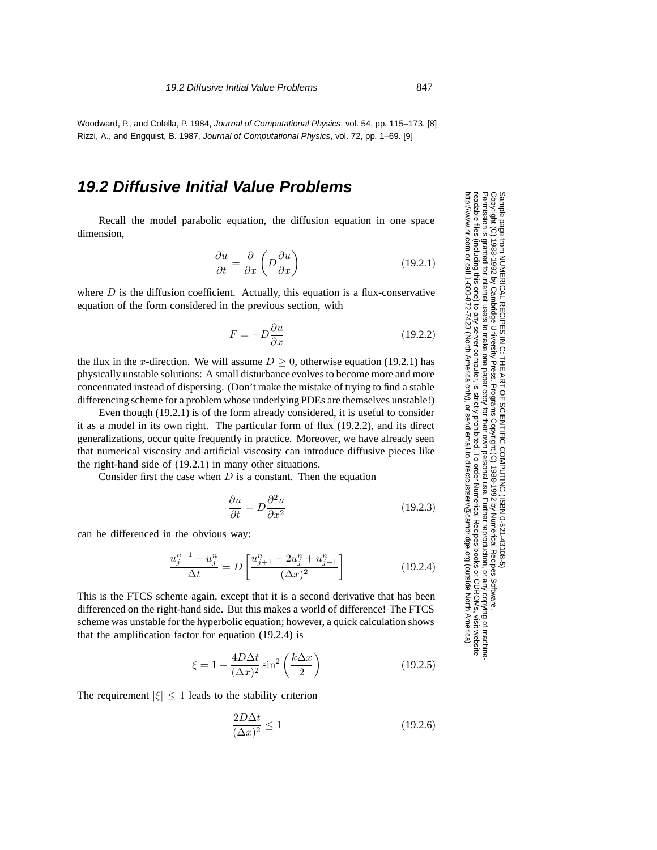Woodward, P., and Colella, P. 1984, Journal of Computational Physics, vol. 54, pp. 115–173. [8] Rizzi, A., and Engquist, B. 1987, Journal of Computational Physics, vol. 72, pp. 1–69. [9]

## **19.2 Diffusive Initial Value Problems**

Recall the model parabolic equation, the diffusion equation in one space dimension,

$$
\frac{\partial u}{\partial t} = \frac{\partial}{\partial x} \left( D \frac{\partial u}{\partial x} \right) \tag{19.2.1}
$$

where  $D$  is the diffusion coefficient. Actually, this equation is a flux-conservative equation of the form considered in the previous section, with

$$
F = -D\frac{\partial u}{\partial x} \tag{19.2.2}
$$

the flux in the x-direction. We will assume  $D \geq 0$ , otherwise equation (19.2.1) has physically unstable solutions: A small disturbance evolves to become more and more concentrated instead of dispersing. (Don't make the mistake of trying to find a stable differencing scheme for a problem whose underlying PDEs are themselves unstable!)

Even though (19.2.1) is of the form already considered, it is useful to consider it as a model in its own right. The particular form of flux (19.2.2), and its direct generalizations, occur quite frequently in practice. Moreover, we have already seen that numerical viscosity and artificial viscosity can introduce diffusive pieces like the right-hand side of (19.2.1) in many other situations.

Consider first the case when  $D$  is a constant. Then the equation

$$
\frac{\partial u}{\partial t} = D \frac{\partial^2 u}{\partial x^2}
$$
 (19.2.3)

can be differenced in the obvious way:

$$
\frac{u_j^{n+1} - u_j^n}{\Delta t} = D \left[ \frac{u_{j+1}^n - 2u_j^n + u_{j-1}^n}{(\Delta x)^2} \right]
$$
\n(19.2.4)

This is the FTCS scheme again, except that it is a second derivative that has been differenced on the right-hand side. But this makes a world of difference! The FTCS scheme was unstable for the hyperbolic equation; however, a quick calculation shows that the amplification factor for equation (19.2.4) is

$$
\xi = 1 - \frac{4D\Delta t}{(\Delta x)^2} \sin^2\left(\frac{k\Delta x}{2}\right) \tag{19.2.5}
$$

The requirement  $|\xi| \leq 1$  leads to the stability criterion

$$
\frac{2D\Delta t}{(\Delta x)^2} \le 1\tag{19.2.6}
$$

Sample page t<br>Copyright (C) Copyright (C) 1988-1992 by Cambridge University Press.Sample page from NUMERICAL RECIPES IN C: THE ART OF SCIENTIFIC COMPUTING (ISBN 0-521-43108-5) http://www.nr.com or call 1-800-872-7423 (North America only),readable files (including this one) to any serverPermission is granted for internet users to make one paper copy for their own personal use. Further reproduction, or any copyin from NUMERICAL RECIPES IN C. THE ART OF SCIENTIFIC COMPUTING (18BN 0-531-43108-6) computer, is strictly prohibited. To order Numerical Recipes booksPrograms Copyright (C) 1988-1992 by Numerical Recipes Software. or send email to directcustserv@cambridge.org (outside North America). or CDROMs, visit website g of machine-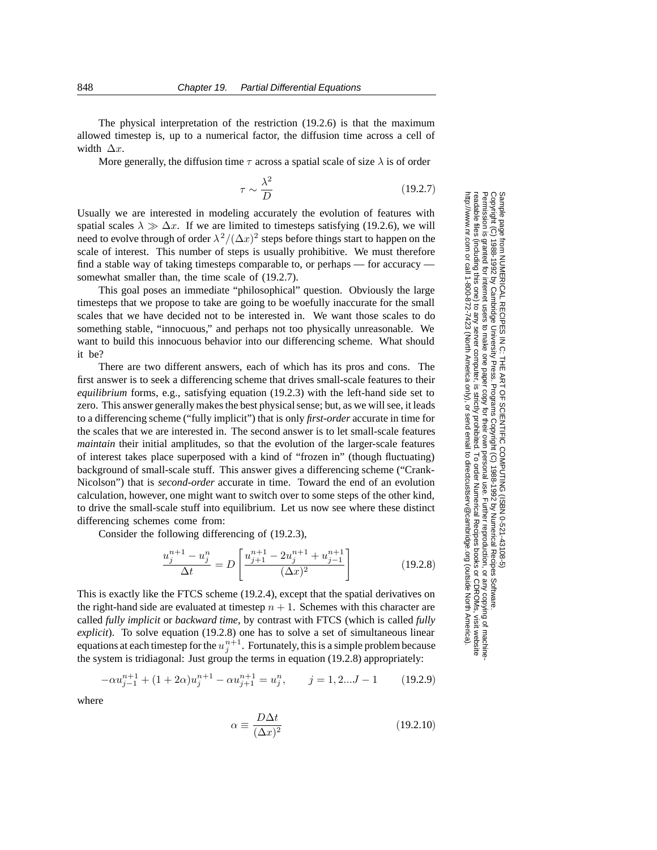The physical interpretation of the restriction (19.2.6) is that the maximum allowed timestep is, up to a numerical factor, the diffusion time across a cell of width  $\Delta x$ .

More generally, the diffusion time  $\tau$  across a spatial scale of size  $\lambda$  is of order

$$
\tau \sim \frac{\lambda^2}{D} \tag{19.2.7}
$$

Usually we are interested in modeling accurately the evolution of features with spatial scales  $\lambda \gg \Delta x$ . If we are limited to timesteps satisfying (19.2.6), we will need to evolve through of order  $\lambda^2/(\Delta x)^2$  steps before things start to happen on the scale of interest. This number of steps is usually prohibitive. We must therefore find a stable way of taking timesteps comparable to, or perhaps — for accuracy somewhat smaller than, the time scale of  $(19.2.7)$ .

This goal poses an immediate "philosophical" question. Obviously the large timesteps that we propose to take are going to be woefully inaccurate for the small scales that we have decided not to be interested in. We want those scales to do something stable, "innocuous," and perhaps not too physically unreasonable. We want to build this innocuous behavior into our differencing scheme. What should it be?

There are two different answers, each of which has its pros and cons. The first answer is to seek a differencing scheme that drives small-scale features to their *equilibrium* forms, e.g., satisfying equation (19.2.3) with the left-hand side set to zero. This answer generally makes the best physical sense; but, as we will see, it leads to a differencing scheme ("fully implicit") that is only *first-order* accurate in time for the scales that we are interested in. The second answer is to let small-scale features *maintain* their initial amplitudes, so that the evolution of the larger-scale features of interest takes place superposed with a kind of "frozen in" (though fluctuating) background of small-scale stuff. This answer gives a differencing scheme ("Crank-Nicolson") that is *second-order* accurate in time. Toward the end of an evolution calculation, however, one might want to switch over to some steps of the other kind, to drive the small-scale stuff into equilibrium. Let us now see where these distinct differencing schemes come from:

Consider the following differencing of (19.2.3),

$$
\frac{u_j^{n+1} - u_j^n}{\Delta t} = D \left[ \frac{u_{j+1}^{n+1} - 2u_j^{n+1} + u_{j-1}^{n+1}}{(\Delta x)^2} \right]
$$
(19.2.8)

This is exactly like the FTCS scheme (19.2.4), except that the spatial derivatives on the right-hand side are evaluated at timestep  $n + 1$ . Schemes with this character are called *fully implicit* or *backward time*, by contrast with FTCS (which is called *fully explicit*). To solve equation (19.2.8) one has to solve a set of simultaneous linear equations at each timestep for the  $u_j^{n+1}$ . Fortunately, this is a simple problem because the system is tridiagonal: Just group the terms in equation (19.2.8) appropriately:

$$
-\alpha u_{j-1}^{n+1} + (1+2\alpha)u_j^{n+1} - \alpha u_{j+1}^{n+1} = u_j^n, \qquad j = 1, 2...J - 1 \tag{19.2.9}
$$

where

$$
\alpha \equiv \frac{D\Delta t}{(\Delta x)^2} \tag{19.2.10}
$$

Sample page t<br>Copyright (C) Copyright (C) 1988-1992 by Cambridge University Press.Sample page from NUMERICAL RECIPES IN C: THE ART OF SCIENTIFIC COMPUTING (ISBN 0-521-43108-5) http://www.nr.com or call 1-800-872-7423 (North America only),readable files (including this one) to any serverPermission is granted for internet users to make one paper copy for their own personal use. Further reproduction, or any copyin from NUMERICAL RECIPES IN C: THE ART OF SCIENTIFIC COMPUTING (ISBN 0-521-43108-5)<br>1988-1992 by Cambridge University Press. Programs Copyright (C) 1989-1992 by Numerical Recipes Software computer, is strictly prohibited. To order Numerical Recipes booksPrograms Copyright (C) 1988-1992 by Numerical Recipes Software. or send email to directcustserv@cambridge.org (outside North America). or CDROMs, visit website g of machine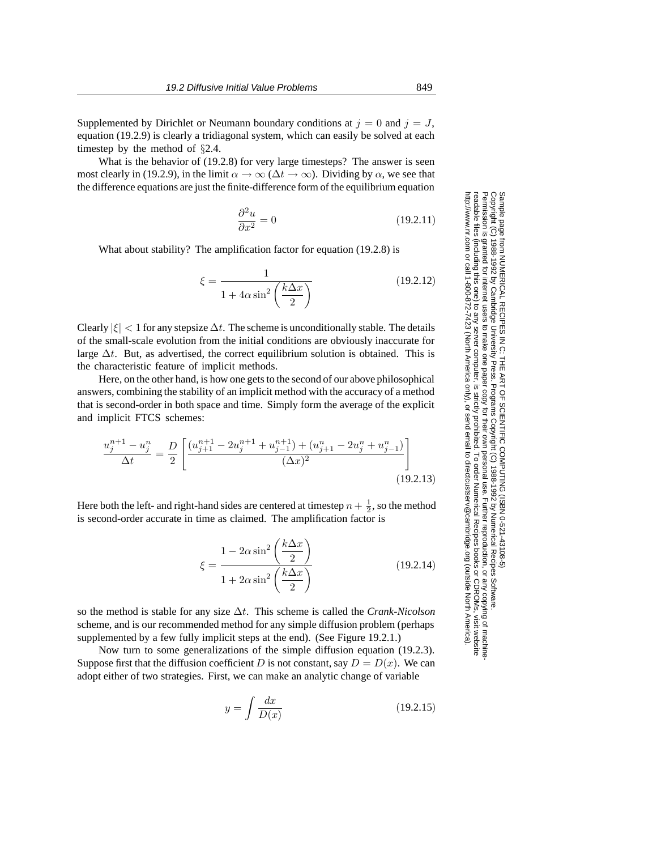Supplemented by Dirichlet or Neumann boundary conditions at  $j = 0$  and  $j = J$ , equation (19.2.9) is clearly a tridiagonal system, which can easily be solved at each timestep by the method of §2.4.

What is the behavior of (19.2.8) for very large timesteps? The answer is seen most clearly in (19.2.9), in the limit  $\alpha \to \infty$  ( $\Delta t \to \infty$ ). Dividing by  $\alpha$ , we see that the difference equations are just the finite-difference form of the equilibrium equation

$$
\frac{\partial^2 u}{\partial x^2} = 0\tag{19.2.11}
$$

What about stability? The amplification factor for equation (19.2.8) is

$$
\xi = \frac{1}{1 + 4\alpha \sin^2\left(\frac{k\Delta x}{2}\right)}\tag{19.2.12}
$$

Clearly  $|\xi| < 1$  for any stepsize  $\Delta t$ . The scheme is unconditionally stable. The details of the small-scale evolution from the initial conditions are obviously inaccurate for large  $\Delta t$ . But, as advertised, the correct equilibrium solution is obtained. This is the characteristic feature of implicit methods.

Here, on the other hand, is how one gets to the second of our above philosophical answers, combining the stability of an implicit method with the accuracy of a method that is second-order in both space and time. Simply form the average of the explicit and implicit FTCS schemes:

$$
\frac{u_j^{n+1} - u_j^n}{\Delta t} = \frac{D}{2} \left[ \frac{(u_{j+1}^{n+1} - 2u_j^{n+1} + u_{j-1}^{n+1}) + (u_{j+1}^n - 2u_j^n + u_{j-1}^n)}{(\Delta x)^2} \right]
$$
\n(19.2.13)

Here both the left- and right-hand sides are centered at timestep  $n + \frac{1}{2}$ , so the method is second-order accurate in time as claimed. The amplification factor is

$$
\xi = \frac{1 - 2\alpha \sin^2\left(\frac{k\Delta x}{2}\right)}{1 + 2\alpha \sin^2\left(\frac{k\Delta x}{2}\right)}
$$
(19.2.14)

so the method is stable for any size ∆t. This scheme is called the *Crank-Nicolson* scheme, and is our recommended method for any simple diffusion problem (perhaps supplemented by a few fully implicit steps at the end). (See Figure 19.2.1.)

Now turn to some generalizations of the simple diffusion equation (19.2.3). Suppose first that the diffusion coefficient D is not constant, say  $D = D(x)$ . We can adopt either of two strategies. First, we can make an analytic change of variable

$$
y = \int \frac{dx}{D(x)}\tag{19.2.15}
$$

Permission is granted for internet users to make one paper copy for their own personal use. Further reproduction, or any copyin Copyright (C) 1988-1992 by Cambridge University Press.Programs Copyright (C) 1988-1992 by Numerical Recipes Software. g of machinereadable files (including this one) to any servercomputer, is strictly prohibited. To order Numerical Recipes booksor CDROMs, visit website http://www.nr.com or call 1-800-872-7423 (North America only),or send email to directcustserv@cambridge.org (outside North America).

Sample page from NUMERICAL RECIPES IN C: THE ART OF SCIENTIFIC COMPUTING (ISBN 0-521-43108-5)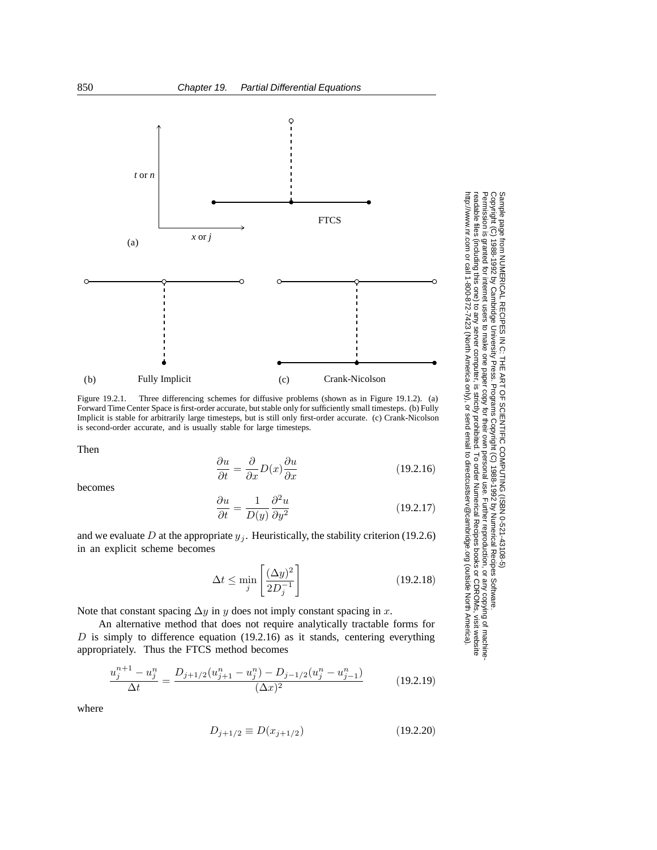

Figure 19.2.1. Three differencing schemes for diffusive problems (shown as in Figure 19.1.2). (a) Forward Time Center Space is first-order accurate, but stable only for sufficiently small timesteps. (b) Fully Implicit is stable for arbitrarily large timesteps, but is still only first-order accurate. (c) Crank-Nicolson is second-order accurate, and is usually stable for large timesteps.

Then

$$
\frac{\partial u}{\partial t} = \frac{\partial}{\partial x} D(x) \frac{\partial u}{\partial x}
$$
(19.2.16)

Permission is granted for internet users to make one paper copy for their own personal use. Further reproduction, or any copyin

computer, is strictly prohibited. To order Numerical Recipes books

or send email to directcustserv@cambridge.org (outside North America).

Sample page from NUMERICAL RECIPES IN C: THE ART OF SCIENTIFIC COMPUTING (ISBN 0-521-43108-5)

Programs Copyright (C) 1988-1992 by Numerical Recipes Software.

g of machine-

or CDROMs, visit website

Copyright (C) 1988-1992 by Cambridge University Press.

readable files (including this one) to any server

http://www.nr.com or call 1-800-872-7423 (North America only),

becomes

$$
\frac{\partial u}{\partial t} = \frac{1}{D(y)} \frac{\partial^2 u}{\partial y^2}
$$
 (19.2.17)

and we evaluate D at the appropriate  $y_j$ . Heuristically, the stability criterion (19.2.6) in an explicit scheme becomes

$$
\Delta t \le \min_{j} \left[ \frac{(\Delta y)^2}{2D_j^{-1}} \right] \tag{19.2.18}
$$

Note that constant spacing  $\Delta y$  in y does not imply constant spacing in x.

An alternative method that does not require analytically tractable forms for  $D$  is simply to difference equation (19.2.16) as it stands, centering everything appropriately. Thus the FTCS method becomes

$$
\frac{u_j^{n+1} - u_j^n}{\Delta t} = \frac{D_{j+1/2}(u_{j+1}^n - u_j^n) - D_{j-1/2}(u_j^n - u_{j-1}^n)}{(\Delta x)^2}
$$
(19.2.19)

where

$$
D_{j+1/2} \equiv D(x_{j+1/2}) \tag{19.2.20}
$$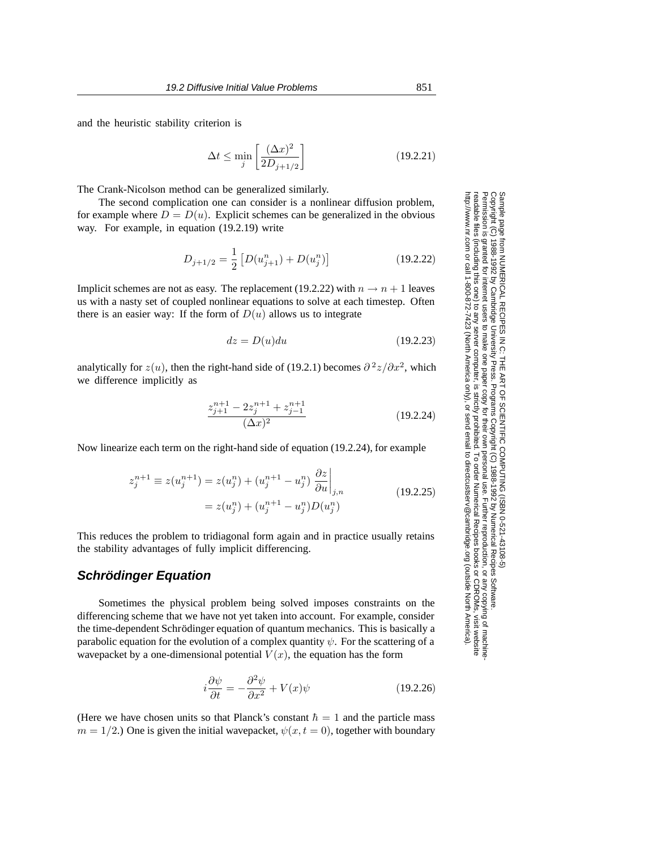and the heuristic stability criterion is

$$
\Delta t \le \min_{j} \left[ \frac{(\Delta x)^2}{2D_{j+1/2}} \right] \tag{19.2.21}
$$

The Crank-Nicolson method can be generalized similarly.

The second complication one can consider is a nonlinear diffusion problem, for example where  $D = D(u)$ . Explicit schemes can be generalized in the obvious way. For example, in equation (19.2.19) write

$$
D_{j+1/2} = \frac{1}{2} \left[ D(u_{j+1}^n) + D(u_j^n) \right]
$$
 (19.2.22)

Implicit schemes are not as easy. The replacement (19.2.22) with  $n \to n + 1$  leaves us with a nasty set of coupled nonlinear equations to solve at each timestep. Often there is an easier way: If the form of  $D(u)$  allows us to integrate

$$
dz = D(u)du
$$
\n(19.2.23)

analytically for  $z(u)$ , then the right-hand side of (19.2.1) becomes  $\partial^2 z/\partial x^2$ , which we difference implicitly as

$$
\frac{z_{j+1}^{n+1} - 2z_j^{n+1} + z_{j-1}^{n+1}}{(\Delta x)^2} \tag{19.2.24}
$$

Now linearize each term on the right-hand side of equation (19.2.24), for example

$$
z_j^{n+1} \equiv z(u_j^{n+1}) = z(u_j^n) + (u_j^{n+1} - u_j^n) \left. \frac{\partial z}{\partial u} \right|_{j,n}
$$
  
=  $z(u_j^n) + (u_j^{n+1} - u_j^n)D(u_j^n)$  (19.2.25)

This reduces the problem to tridiagonal form again and in practice usually retains the stability advantages of fully implicit differencing.

## **Schrödinger Equation**

Sometimes the physical problem being solved imposes constraints on the differencing scheme that we have not yet taken into account. For example, consider the time-dependent Schrödinger equation of quantum mechanics. This is basically a parabolic equation for the evolution of a complex quantity  $\psi$ . For the scattering of a wavepacket by a one-dimensional potential  $V(x)$ , the equation has the form

$$
i\frac{\partial\psi}{\partial t} = -\frac{\partial^2\psi}{\partial x^2} + V(x)\psi
$$
 (19.2.26)

(Here we have chosen units so that Planck's constant  $\hbar = 1$  and the particle mass  $m = 1/2$ .) One is given the initial wavepacket,  $\psi(x, t = 0)$ , together with boundary

Permission is granted for internet users to make one paper copy for their own personal use. Further reproduction, or any copyin Copyright (C) 1988-1992 by Cambridge University Press.Programs Copyright (C) 1988-1992 by Numerical Recipes Software. g of machinereadable files (including this one) to any servercomputer, is strictly prohibited. To order Numerical Recipes booksor CDROMs, visit website http://www.nr.com or call 1-800-872-7423 (North America only),or send email to directcustserv@cambridge.org (outside North America).

Sample page from NUMERICAL RECIPES IN C: THE ART OF SCIENTIFIC COMPUTING (ISBN 0-521-43108-5)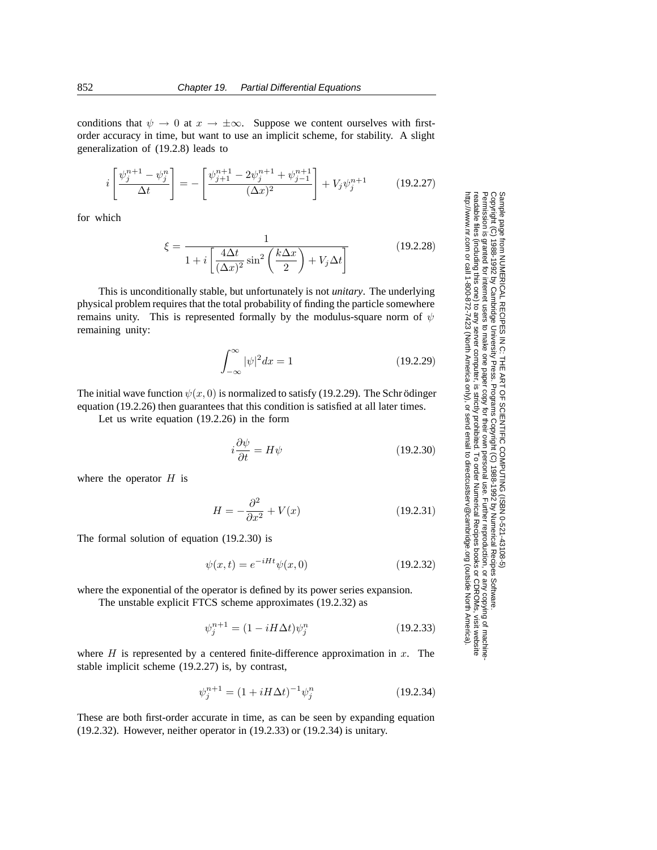conditions that  $\psi \to 0$  at  $x \to \pm \infty$ . Suppose we content ourselves with firstorder accuracy in time, but want to use an implicit scheme, for stability. A slight generalization of (19.2.8) leads to

$$
i\left[\frac{\psi_j^{n+1} - \psi_j^n}{\Delta t}\right] = -\left[\frac{\psi_{j+1}^{n+1} - 2\psi_j^{n+1} + \psi_{j-1}^{n+1}}{(\Delta x)^2}\right] + V_j \psi_j^{n+1}
$$
(19.2.27)

for which

$$
\xi = \frac{1}{1 + i \left[ \frac{4\Delta t}{(\Delta x)^2} \sin^2 \left( \frac{k\Delta x}{2} \right) + V_j \Delta t \right]}
$$
(19.2.28)

This is unconditionally stable, but unfortunately is not *unitary*. The underlying physical problem requires that the total probability of finding the particle somewhere remains unity. This is represented formally by the modulus-square norm of  $\psi$ remaining unity:

$$
\int_{-\infty}^{\infty} |\psi|^2 dx = 1 \tag{19.2.29}
$$

The initial wave function  $\psi(x, 0)$  is normalized to satisfy (19.2.29). The Schrödinger equation (19.2.26) then guarantees that this condition is satisfied at all later times.

Let us write equation (19.2.26) in the form

$$
i\frac{\partial\psi}{\partial t} = H\psi\tag{19.2.30}
$$

Permission is granted for internet users to make one paper copy for their own personal use. Further reproduction, or any copyin

computer, is strictly prohibited. To order Numerical Recipes books

or send email to directcustserv@cambridge.org (outside North America).

1988-1992 by Cambridge University Press. Programs Copyright (C) 1988-1992 by Numerical Recipes Software

Sample page from NUMERICAL RECIPES IN C: THE ART OF SCIENTIFIC COMPUTING (ISBN 0-521-43108-5)

from NUMERICAL RECIPES IN C: THE ART OF SCIENTIFIC COMPUTING (ISBN 0-521-43108-5)

Programs Copyright (C) 1988-1992 by Numerical Recipes Software.

g of machine-

or CDROMs, visit website

Copyright (C) 1988-1992 by Cambridge University Press.

Sample page t<br>Copyright (C)<br>Permission is <sub>9</sub>

readable files (including this one) to any server

http://www.nr.com or call 1-800-872-7423 (North America only),

where the operator  $H$  is

$$
H = -\frac{\partial^2}{\partial x^2} + V(x) \tag{19.2.31}
$$

The formal solution of equation (19.2.30) is

$$
\psi(x,t) = e^{-iHt}\psi(x,0)
$$
\n(19.2.32)

where the exponential of the operator is defined by its power series expansion.

The unstable explicit FTCS scheme approximates (19.2.32) as

$$
\psi_j^{n+1} = (1 - iH\Delta t)\psi_j^n \tag{19.2.33}
$$

where  $H$  is represented by a centered finite-difference approximation in  $x$ . The stable implicit scheme (19.2.27) is, by contrast,

$$
\psi_j^{n+1} = (1 + iH\Delta t)^{-1} \psi_j^n \tag{19.2.34}
$$

These are both first-order accurate in time, as can be seen by expanding equation (19.2.32). However, neither operator in (19.2.33) or (19.2.34) is unitary.